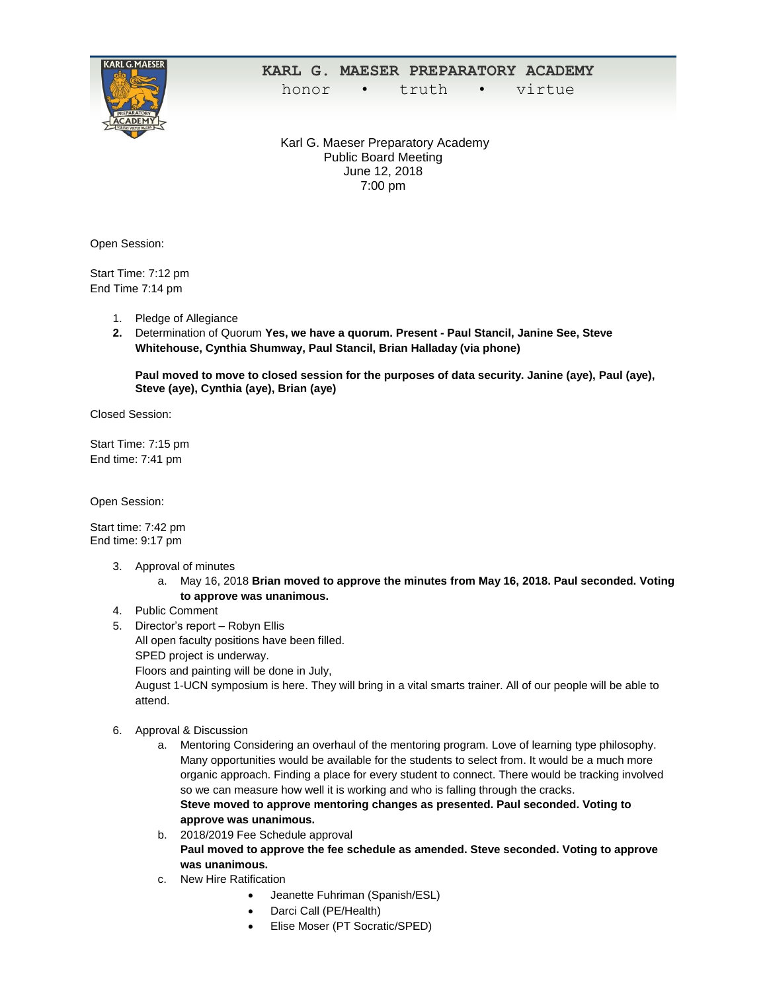

## **KARL G. MAESER PREPARATORY ACADEMY**

honor • truth • virtue

Karl G. Maeser Preparatory Academy Public Board Meeting June 12, 2018 7:00 pm

Open Session:

Start Time: 7:12 pm End Time 7:14 pm

- 1. Pledge of Allegiance
- **2.** Determination of Quorum **Yes, we have a quorum. Present - Paul Stancil, Janine See, Steve Whitehouse, Cynthia Shumway, Paul Stancil, Brian Halladay (via phone)**

**Paul moved to move to closed session for the purposes of data security. Janine (aye), Paul (aye), Steve (aye), Cynthia (aye), Brian (aye)**

Closed Session:

Start Time: 7:15 pm End time: 7:41 pm

Open Session:

Start time: 7:42 pm End time: 9:17 pm

- 3. Approval of minutes
	- a. May 16, 2018 **Brian moved to approve the minutes from May 16, 2018. Paul seconded. Voting to approve was unanimous.**
- 4. Public Comment
- 5. Director's report Robyn Ellis All open faculty positions have been filled.
	- SPED project is underway.

Floors and painting will be done in July,

August 1-UCN symposium is here. They will bring in a vital smarts trainer. All of our people will be able to attend.

- 6. Approval & Discussion
	- a. Mentoring Considering an overhaul of the mentoring program. Love of learning type philosophy. Many opportunities would be available for the students to select from. It would be a much more organic approach. Finding a place for every student to connect. There would be tracking involved so we can measure how well it is working and who is falling through the cracks. **Steve moved to approve mentoring changes as presented. Paul seconded. Voting to approve was unanimous.**
	- b. 2018/2019 Fee Schedule approval **Paul moved to approve the fee schedule as amended. Steve seconded. Voting to approve was unanimous.**
	- c. New Hire Ratification
		- Jeanette Fuhriman (Spanish/ESL)
		- Darci Call (PE/Health)
		- Elise Moser (PT Socratic/SPED)